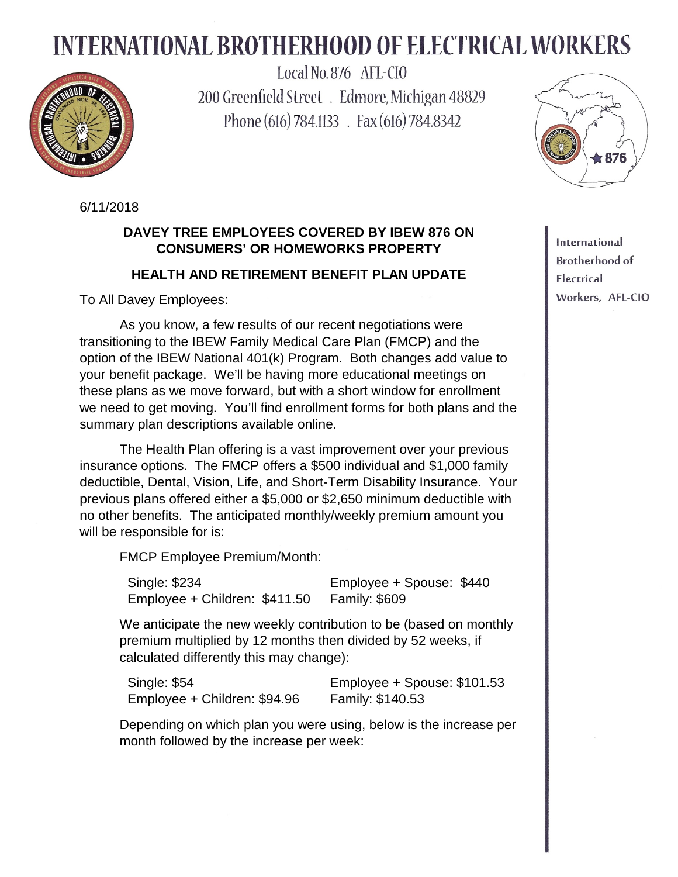## **INTERNATIONAL BROTHERHOOD OF ELECTRICAL WORKERS**



Local No. 876 AFL-CIO 200 Greenfield Street . Edmore, Michigan 48829 Phone (616) 784.1133 . Fax (616) 784.8342



6/11/2018

## **DAVEY TREE EMPLOYEES COVERED BY IBEW 876 ON CONSUMERS' OR HOMEWORKS PROPERTY**

## **HEALTH AND RETIREMENT BENEFIT PLAN UPDATE**

To All Davey Employees:

As you know, a few results of our recent negotiations were transitioning to the IBEW Family Medical Care Plan (FMCP) and the option of the IBEW National 401(k) Program. Both changes add value to your benefit package. We'll be having more educational meetings on these plans as we move forward, but with a short window for enrollment we need to get moving. You'll find enrollment forms for both plans and the summary plan descriptions available online.

The Health Plan offering is a vast improvement over your previous insurance options. The FMCP offers a \$500 individual and \$1,000 family deductible, Dental, Vision, Life, and Short-Term Disability Insurance. Your previous plans offered either a \$5,000 or \$2,650 minimum deductible with no other benefits. The anticipated monthly/weekly premium amount you will be responsible for is:

FMCP Employee Premium/Month:

Single: \$234 Employee + Spouse: \$440 Employee + Children: \$411.50 Family: \$609

We anticipate the new weekly contribution to be (based on monthly premium multiplied by 12 months then divided by 52 weeks, if calculated differently this may change):

Single: \$54 Employee + Spouse: \$101.53 Employee + Children: \$94.96 Family: \$140.53

Depending on which plan you were using, below is the increase per month followed by the increase per week:

International **Brotherhood of** Electrical Workers, AFL-CIO